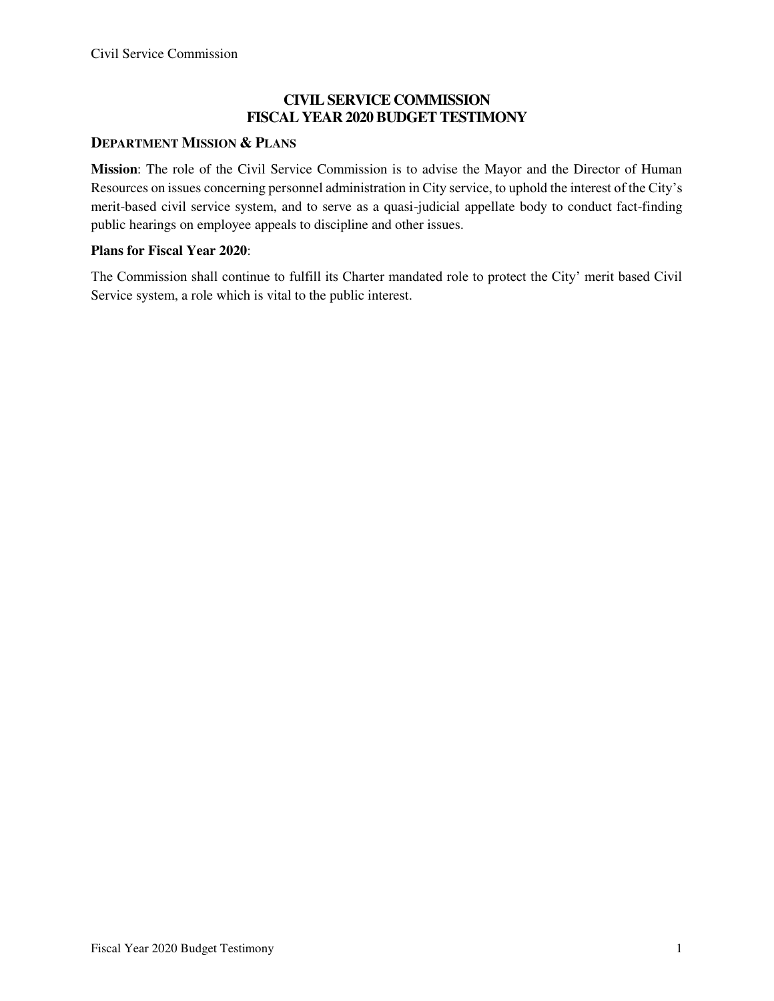### **CIVIL SERVICE COMMISSION FISCAL YEAR 2020 BUDGET TESTIMONY**

### **DEPARTMENT MISSION & PLANS**

**Mission**: The role of the Civil Service Commission is to advise the Mayor and the Director of Human Resources on issues concerning personnel administration in City service, to uphold the interest of the City's merit-based civil service system, and to serve as a quasi-judicial appellate body to conduct fact-finding public hearings on employee appeals to discipline and other issues.

#### **Plans for Fiscal Year 2020**:

The Commission shall continue to fulfill its Charter mandated role to protect the City' merit based Civil Service system, a role which is vital to the public interest.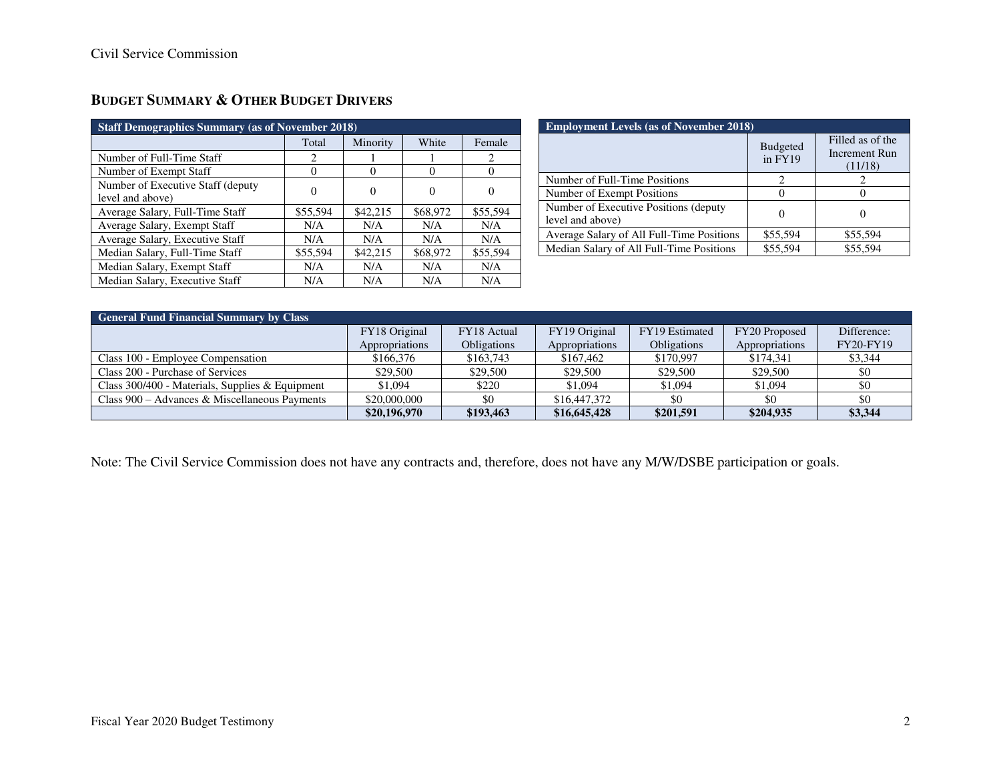| <b>Staff Demographics Summary (as of November 2018)</b> |          |          |          |          |  |
|---------------------------------------------------------|----------|----------|----------|----------|--|
|                                                         | Total    | Minority | White    | Female   |  |
| Number of Full-Time Staff                               | 2        |          |          | 2        |  |
| Number of Exempt Staff                                  | $\theta$ | $\theta$ | $\theta$ | $\theta$ |  |
| Number of Executive Staff (deputy<br>level and above)   | 0        | $\Omega$ |          | $\theta$ |  |
| Average Salary, Full-Time Staff                         | \$55,594 | \$42,215 | \$68,972 | \$55,594 |  |
| Average Salary, Exempt Staff                            | N/A      | N/A      | N/A      | N/A      |  |
| Average Salary, Executive Staff                         | N/A      | N/A      | N/A      | N/A      |  |
| Median Salary, Full-Time Staff                          | \$55,594 | \$42,215 | \$68,972 | \$55,594 |  |
| Median Salary, Exempt Staff                             | N/A      | N/A      | N/A      | N/A      |  |
| Median Salary, Executive Staff                          | N/A      | N/A      | N/A      | N/A      |  |

### **BUDGET SUMMARY & OTHER BUDGET DRIVERS**

| <b>Employment Levels (as of November 2018)</b>            |                            |                                              |  |  |
|-----------------------------------------------------------|----------------------------|----------------------------------------------|--|--|
|                                                           | <b>Budgeted</b><br>in FY19 | Filled as of the<br>Increment Run<br>(11/18) |  |  |
| Number of Full-Time Positions                             |                            |                                              |  |  |
| Number of Exempt Positions                                |                            |                                              |  |  |
| Number of Executive Positions (deputy<br>level and above) |                            |                                              |  |  |
| Average Salary of All Full-Time Positions                 | \$55,594                   | \$55,594                                     |  |  |
| Median Salary of All Full-Time Positions                  | \$55,594                   | \$55,594                                     |  |  |

| <b>General Fund Financial Summary by Class</b>  |                |                    |                |                    |                |             |
|-------------------------------------------------|----------------|--------------------|----------------|--------------------|----------------|-------------|
|                                                 | FY18 Original  | FY18 Actual        | FY19 Original  | FY19 Estimated     | FY20 Proposed  | Difference: |
|                                                 | Appropriations | <b>Obligations</b> | Appropriations | <b>Obligations</b> | Appropriations | FY20-FY19   |
| Class 100 - Employee Compensation               | \$166,376      | \$163,743          | \$167,462      | \$170,997          | \$174,341      | \$3,344     |
| Class 200 - Purchase of Services                | \$29,500       | \$29,500           | \$29,500       | \$29,500           | \$29,500       | \$0         |
| Class 300/400 - Materials, Supplies & Equipment | \$1,094        | \$220              | \$1,094        | \$1,094            | \$1,094        | \$0         |
| Class $900 -$ Advances & Miscellaneous Payments | \$20,000,000   | \$0                | \$16,447,372   |                    | \$0            | -\$0        |
|                                                 | \$20,196,970   | \$193.463          | \$16,645,428   | \$201.591          | \$204.935      | \$3,344     |

Note: The Civil Service Commission does not have any contracts and, therefore, does not have any M/W/DSBE participation or goals.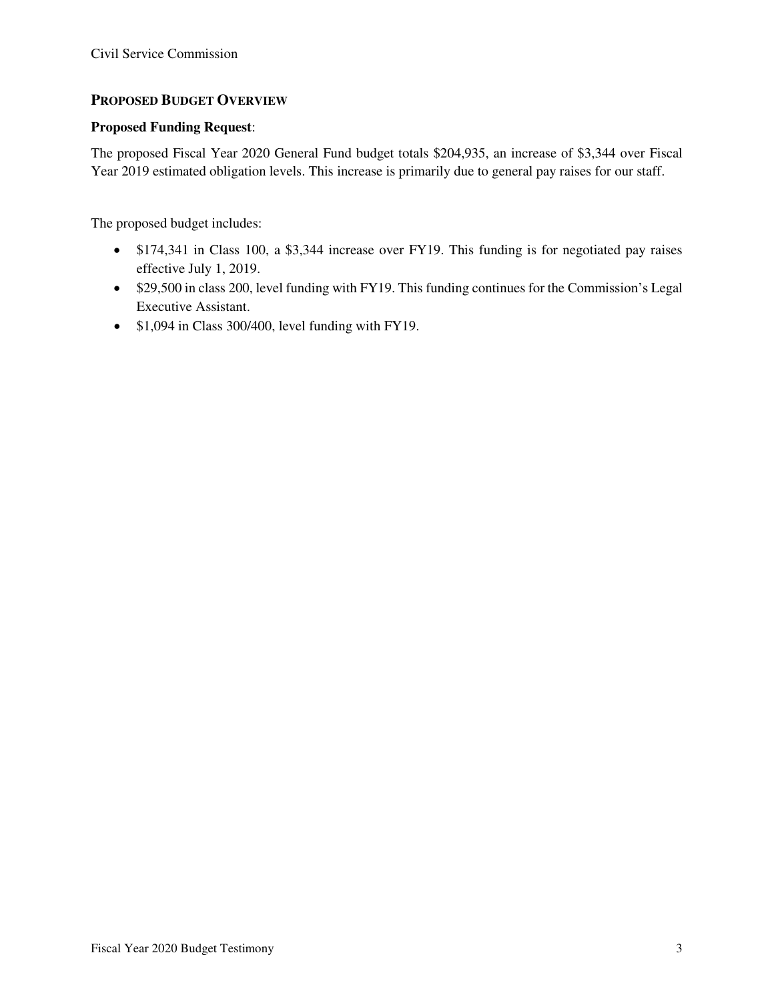### **PROPOSED BUDGET OVERVIEW**

### **Proposed Funding Request**:

The proposed Fiscal Year 2020 General Fund budget totals \$204,935, an increase of \$3,344 over Fiscal Year 2019 estimated obligation levels. This increase is primarily due to general pay raises for our staff.

The proposed budget includes:

- \$174,341 in Class 100, a \$3,344 increase over FY19. This funding is for negotiated pay raises effective July 1, 2019.
- \$29,500 in class 200, level funding with FY19. This funding continues for the Commission's Legal Executive Assistant.
- \$1,094 in Class 300/400, level funding with FY19.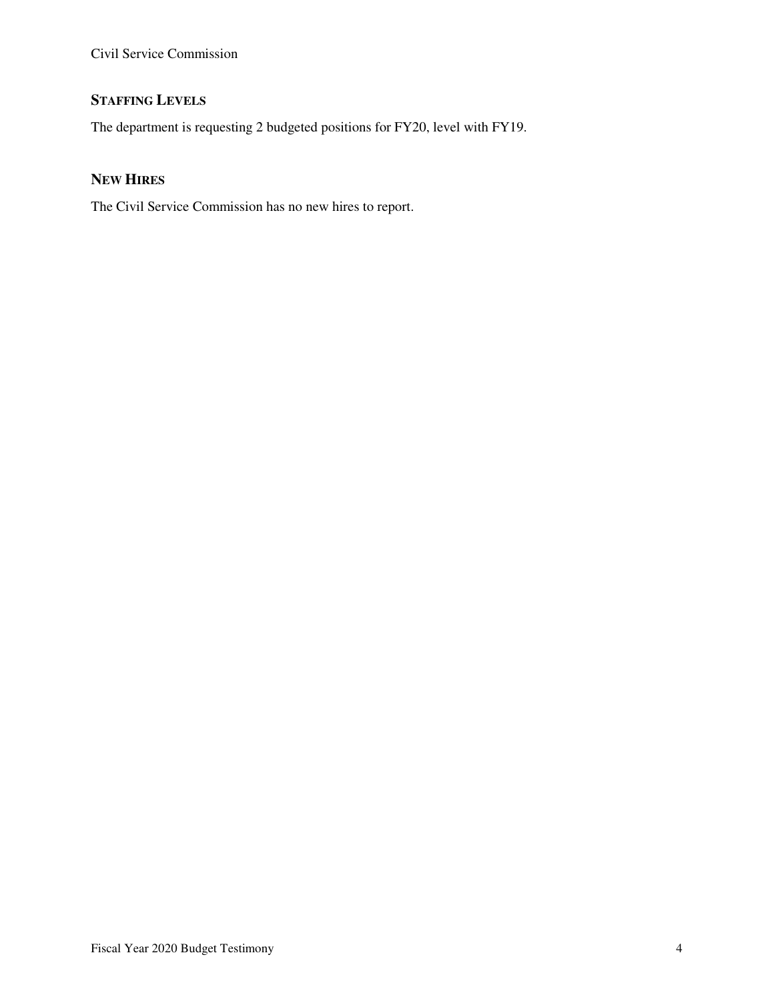## **STAFFING LEVELS**

The department is requesting 2 budgeted positions for FY20, level with FY19.

### **NEW HIRES**

The Civil Service Commission has no new hires to report.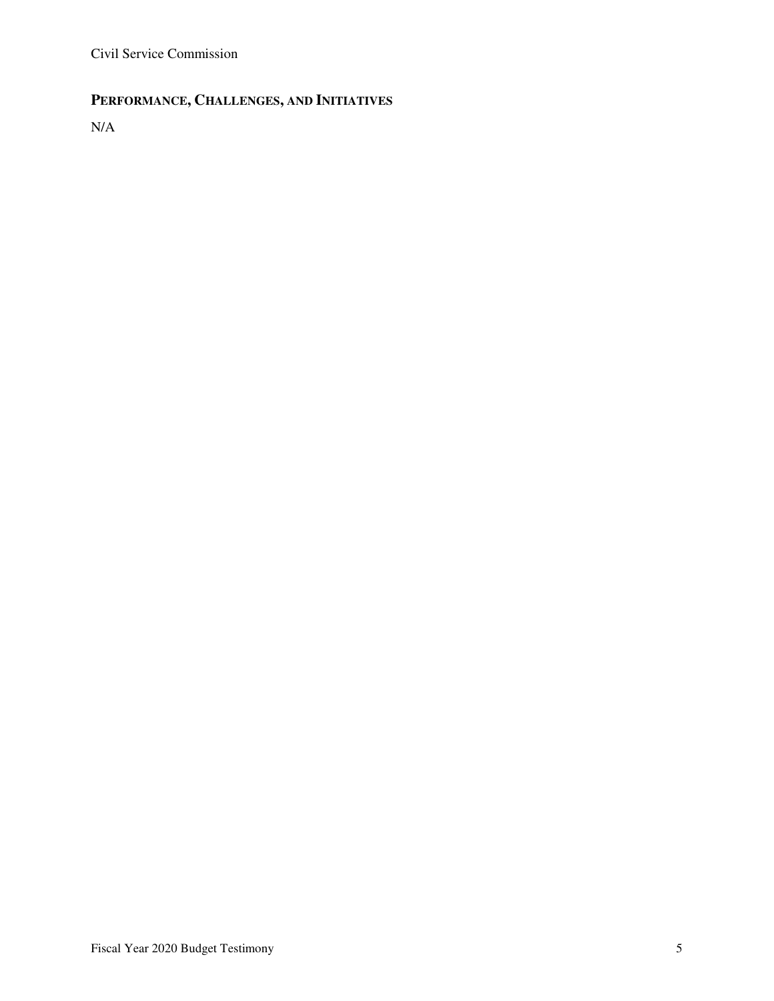## **PERFORMANCE, CHALLENGES, AND INITIATIVES**

N/A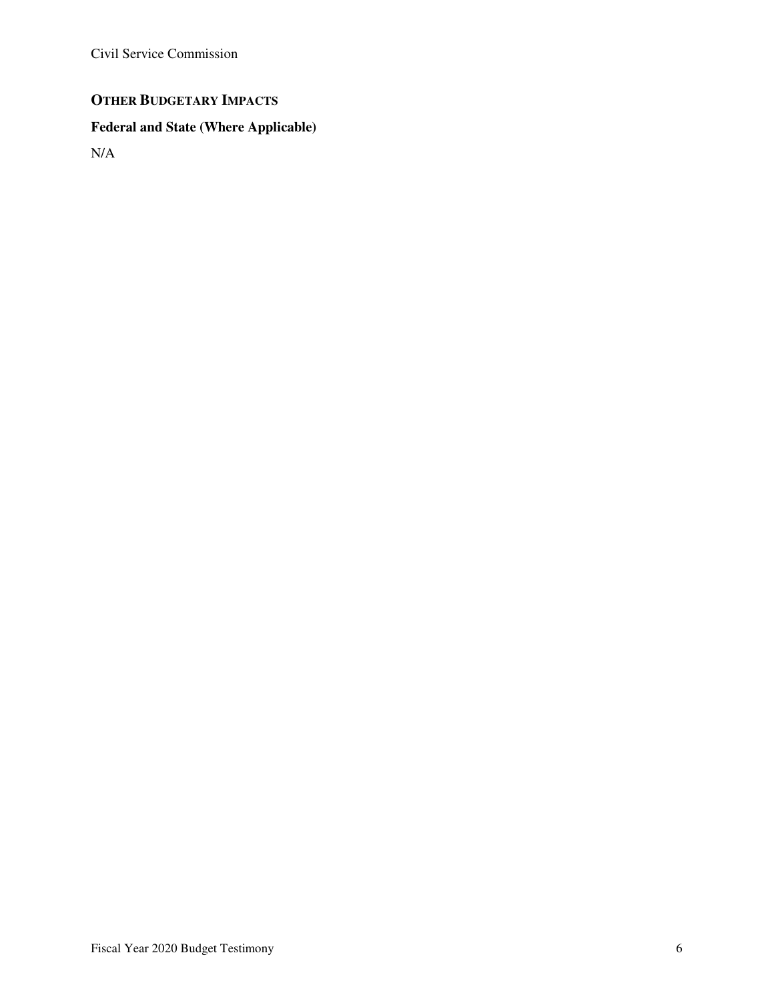## **OTHER BUDGETARY IMPACTS**

# **Federal and State (Where Applicable)**

N/A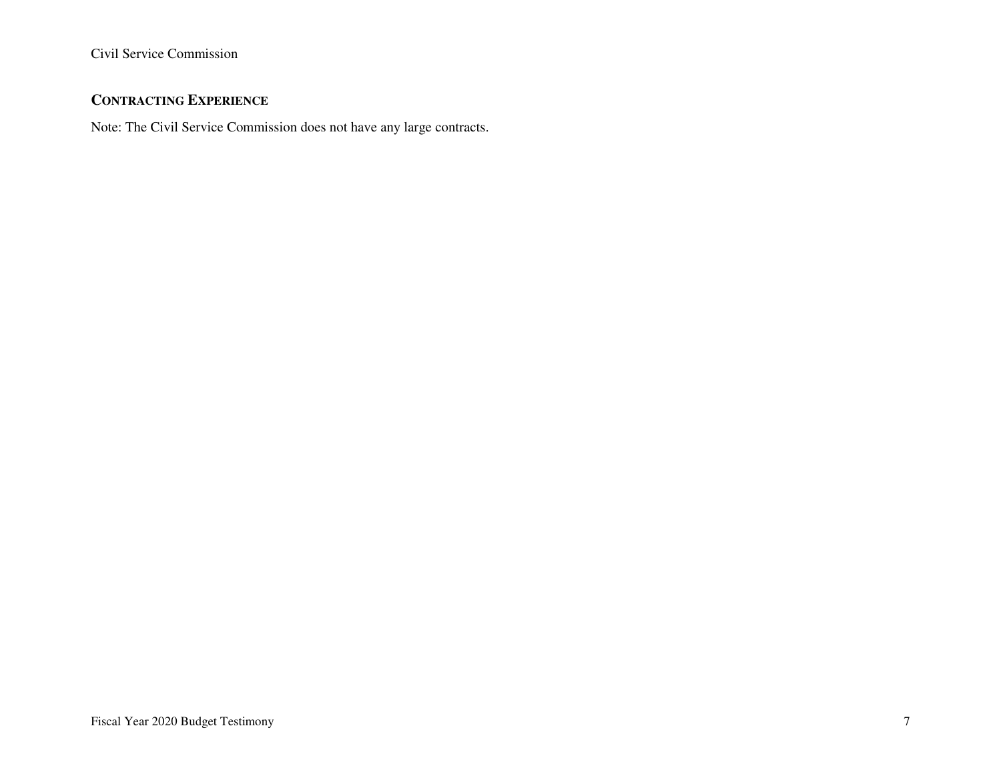## **CONTRACTING EXPERIENCE**

Note: The Civil Service Commission does not have any large contracts.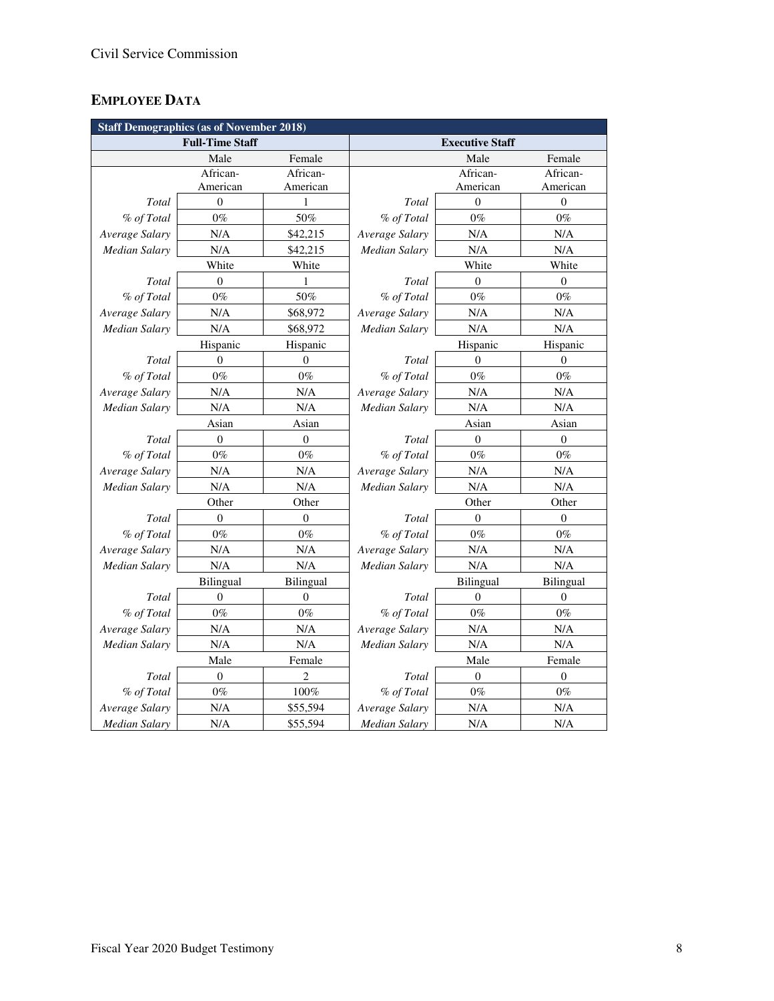## **EMPLOYEE DATA**

| <b>Staff Demographics (as of November 2018)</b> |                  |                  |                        |                  |                  |  |
|-------------------------------------------------|------------------|------------------|------------------------|------------------|------------------|--|
| <b>Full-Time Staff</b>                          |                  |                  | <b>Executive Staff</b> |                  |                  |  |
|                                                 | Male             | Female           |                        | Male             | Female           |  |
|                                                 | African-         | African-         |                        | African-         | African-         |  |
|                                                 | American         | American         |                        | American         | American         |  |
| Total                                           | $\overline{0}$   | $\mathbf{1}$     | Total                  | $\theta$         | $\boldsymbol{0}$ |  |
| % of Total                                      | $0\%$            | 50%              | % of Total             | $0\%$            | $0\%$            |  |
| Average Salary                                  | N/A              | \$42,215         | Average Salary         | N/A              | N/A              |  |
| <b>Median Salary</b>                            | N/A              | \$42,215         | <b>Median Salary</b>   | N/A              | N/A              |  |
|                                                 | White            | White            |                        | White            | White            |  |
| Total                                           | $\overline{0}$   | 1                | Total                  | $\Omega$         | $\theta$         |  |
| % of Total                                      | $0\%$            | 50%              | % of Total             | $0\%$            | $0\%$            |  |
| Average Salary                                  | N/A              | \$68,972         | Average Salary         | N/A              | N/A              |  |
| <b>Median Salary</b>                            | N/A              | \$68,972         | <b>Median Salary</b>   | N/A              | N/A              |  |
|                                                 | Hispanic         | Hispanic         |                        | Hispanic         | Hispanic         |  |
| Total                                           | $\theta$         | $\Omega$         | Total                  | $\theta$         | $\theta$         |  |
| % of Total                                      | $0\%$            | $0\%$            | % of Total             | $0\%$            | $0\%$            |  |
| Average Salary                                  | N/A              | N/A              | Average Salary         | N/A              | $\rm N/A$        |  |
| <b>Median Salary</b>                            | N/A              | N/A              | Median Salary          | N/A              | N/A              |  |
|                                                 | Asian            | Asian            |                        | Asian            | Asian            |  |
| Total                                           | $\boldsymbol{0}$ | $\boldsymbol{0}$ | Total                  | $\boldsymbol{0}$ | $\boldsymbol{0}$ |  |
| % of Total                                      | $0\%$            | $0\%$            | % of Total             | $0\%$            | $0\%$            |  |
| Average Salary                                  | N/A              | N/A              | Average Salary         | N/A              | N/A              |  |
| <b>Median Salary</b>                            | N/A              | N/A              | Median Salary          | N/A              | N/A              |  |
|                                                 | Other            | Other            | Other                  |                  | Other            |  |
| Total                                           | $\Omega$         | 0                | Total                  | $\Omega$         | $\mathbf{0}$     |  |
| % of Total                                      | $0\%$            | $0\%$            | % of Total             | $0\%$            | $0\%$            |  |
| Average Salary                                  | N/A              | N/A              | Average Salary         | N/A              | N/A              |  |
| Median Salary                                   | N/A              | N/A              | Median Salary          | N/A              | N/A              |  |
|                                                 | <b>Bilingual</b> | <b>Bilingual</b> |                        | <b>Bilingual</b> | <b>Bilingual</b> |  |
| Total                                           | $\overline{0}$   | $\overline{0}$   | Total                  | $\Omega$         | $\mathbf{0}$     |  |
| % of Total                                      | $0\%$            | $0\%$            | % of Total             | $0\%$            | $0\%$            |  |
| Average Salary                                  | N/A              | N/A              | Average Salary         | N/A              | N/A              |  |
| Median Salary                                   | N/A              | N/A              | Median Salary          | N/A              | N/A              |  |
|                                                 | Male             | Female           |                        | Male             | Female           |  |
| Total                                           | $\boldsymbol{0}$ | $\overline{c}$   | Total                  | $\boldsymbol{0}$ | $\boldsymbol{0}$ |  |
| % of Total                                      | $0\%$            | 100%             | % of Total             | $0\%$            | $0\%$            |  |
| Average Salary                                  | N/A              | \$55,594         | Average Salary         | N/A              | N/A              |  |
| Median Salary                                   | N/A              | \$55,594         | Median Salary          | N/A              | N/A              |  |